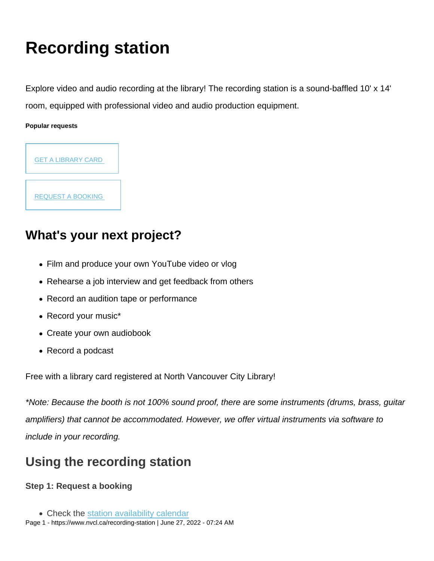# Recording station

Explore video and audio recording at the library! The recording station is a sound-baffled 10' x 14' room, equipped with professional video and audio production equipment.

Popular requests



[REQUEST A BOOKING](https://nvcl.formstack.com/forms/recording_station_booking_form_covid) 

### What's your next project?

- Film and produce your own YouTube video or vlog
- Rehearse a job interview and get feedback from others
- Record an audition tape or performance
- Record your music\*
- Create your own audiobook
- Record a podcast

Free with a library card registered at North Vancouver City Library!

\*Note: Because the booth is not 100% sound proof, there are some instruments (drums, brass, guitar amplifiers) that cannot be accommodated. However, we offer virtual instruments via software to include in your recording.

### Using the recording station

Step 1: Request a booking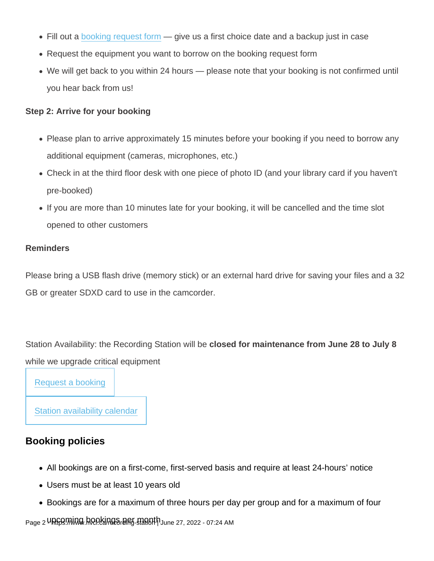- Fill out a [booking request form](https://nvcl.formstack.com/forms/recording_station_booking_form_covid) give us a first choice date and a backup just in case
- Request the equipment you want to borrow on the booking request form
- We will get back to you within 24 hours please note that your booking is not confirmed until you hear back from us!

Step 2: Arrive for your booking

- Please plan to arrive approximately 15 minutes before your booking if you need to borrow any additional equipment (cameras, microphones, etc.)
- Check in at the third floor desk with one piece of photo ID (and your library card if you haven't pre-booked)
- If you are more than 10 minutes late for your booking, it will be cancelled and the time slot opened to other customers

#### Reminders

Please bring a USB flash drive (memory stick) or an external hard drive for saving your files and a 32 GB or greater SDXD card to use in the camcorder.

Station Availability: the Recording Station will be closed for maintenance from June 28 to July 8 while we upgrade critical equipment

[Request a booking](https://nvcl.formstack.com/forms/recording_station_booking_form_covid)

[Station availability calendar](https://teamup.com/ks53b87dd67ed86dc7?showProfileAndInfo=0&showSidepanel=1&showAgendaHeader=1&showAgendaDetails=0&showYearViewHeader=1)

### Booking policies

- All bookings are on a first-come, first-served basis and require at least 24-hours' notice
- Users must be at least 10 years old
- Bookings are for a maximum of three hours per day per group and for a maximum of four

Page 2 URGO MUNG bookings per month June 27, 2022 - 07:24 AM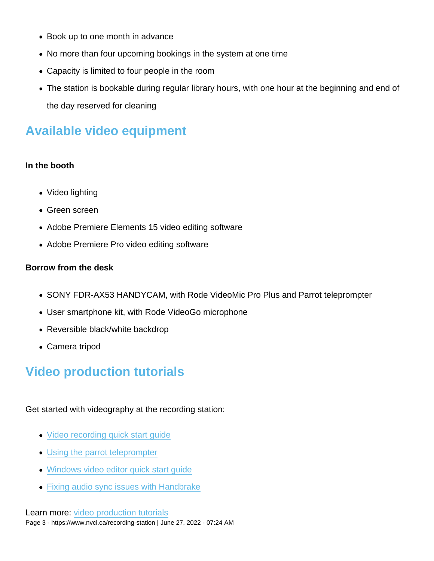- Book up to one month in advance
- No more than four upcoming bookings in the system at one time
- Capacity is limited to four people in the room
- The station is bookable during regular library hours, with one hour at the beginning and end of the day reserved for cleaning

### Available video equipment

#### In the booth

- Video lighting
- Green screen
- Adobe Premiere Elements 15 video editing software
- Adobe Premiere Pro video editing software

#### Borrow from the desk

- SONY FDR-AX53 HANDYCAM, with Rode VideoMic Pro Plus and Parrot teleprompter
- User smartphone kit, with Rode VideoGo microphone
- Reversible black/white backdrop
- Camera tripod

### Video production tutorials

Get started with videography at the recording station:

- [Video recording quick start guide](https://my.nicheacademy.com/nvcl/course/48210)
- [Using the parrot teleprompter](https://my.nicheacademy.com/nvcl/course/48214)
- [Windows video editor quick start guide](https://my.nicheacademy.com/nvcl/course/48215)
- [Fixing audio sync issues with Handbrake](https://my.nicheacademy.com/nvcl/course/48212)

Learn more: [video production tutorials](https://www.nvcl.ca/video-production-tutorials) Page 3 - https://www.nvcl.ca/recording-station | June 27, 2022 - 07:24 AM